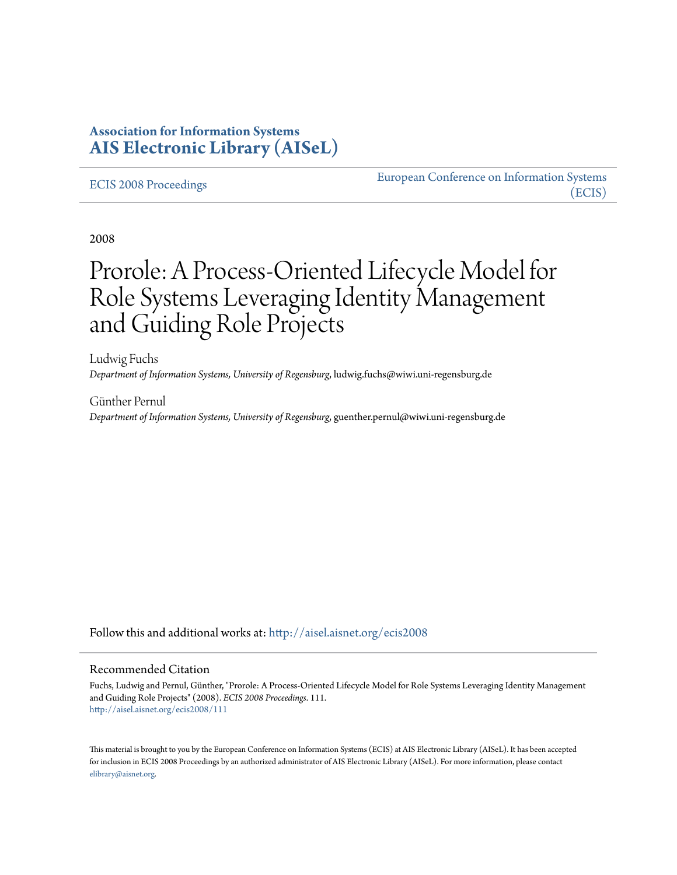# **Association for Information Systems [AIS Electronic Library \(AISeL\)](http://aisel.aisnet.org?utm_source=aisel.aisnet.org%2Fecis2008%2F111&utm_medium=PDF&utm_campaign=PDFCoverPages)**

#### [ECIS 2008 Proceedings](http://aisel.aisnet.org/ecis2008?utm_source=aisel.aisnet.org%2Fecis2008%2F111&utm_medium=PDF&utm_campaign=PDFCoverPages)

[European Conference on Information Systems](http://aisel.aisnet.org/ecis?utm_source=aisel.aisnet.org%2Fecis2008%2F111&utm_medium=PDF&utm_campaign=PDFCoverPages) [\(ECIS\)](http://aisel.aisnet.org/ecis?utm_source=aisel.aisnet.org%2Fecis2008%2F111&utm_medium=PDF&utm_campaign=PDFCoverPages)

2008

# Prorole: A Process-Oriented Lifecycle Model for Role Systems Leveraging Identity Management and Guiding Role Projects

Ludwig Fuchs *Department of Information Systems, University of Regensburg*, ludwig.fuchs@wiwi.uni-regensburg.de

Günther Pernul *Department of Information Systems, University of Regensburg*, guenther.pernul@wiwi.uni-regensburg.de

Follow this and additional works at: [http://aisel.aisnet.org/ecis2008](http://aisel.aisnet.org/ecis2008?utm_source=aisel.aisnet.org%2Fecis2008%2F111&utm_medium=PDF&utm_campaign=PDFCoverPages)

#### Recommended Citation

Fuchs, Ludwig and Pernul, Günther, "Prorole: A Process-Oriented Lifecycle Model for Role Systems Leveraging Identity Management and Guiding Role Projects" (2008). *ECIS 2008 Proceedings*. 111. [http://aisel.aisnet.org/ecis2008/111](http://aisel.aisnet.org/ecis2008/111?utm_source=aisel.aisnet.org%2Fecis2008%2F111&utm_medium=PDF&utm_campaign=PDFCoverPages)

This material is brought to you by the European Conference on Information Systems (ECIS) at AIS Electronic Library (AISeL). It has been accepted for inclusion in ECIS 2008 Proceedings by an authorized administrator of AIS Electronic Library (AISeL). For more information, please contact [elibrary@aisnet.org.](mailto:elibrary@aisnet.org%3E)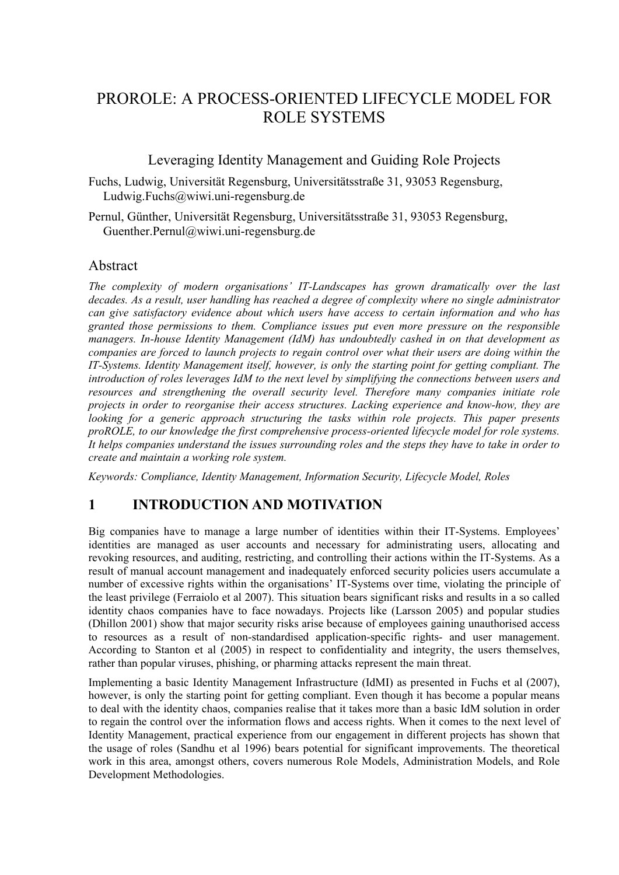# PROROLE: A PROCESS-ORIENTED LIFECYCLE MODEL FOR ROLE SYSTEMS

### Leveraging Identity Management and Guiding Role Projects

Fuchs, Ludwig, Universität Regensburg, Universitätsstraße 31, 93053 Regensburg, Ludwig.Fuchs@wiwi.uni-regensburg.de

Pernul, Günther, Universität Regensburg, Universitätsstraße 31, 93053 Regensburg, Guenther.Pernul@wiwi.uni-regensburg.de

### Abstract

*The complexity of modern organisations' IT-Landscapes has grown dramatically over the last decades. As a result, user handling has reached a degree of complexity where no single administrator can give satisfactory evidence about which users have access to certain information and who has granted those permissions to them. Compliance issues put even more pressure on the responsible managers. In-house Identity Management (IdM) has undoubtedly cashed in on that development as companies are forced to launch projects to regain control over what their users are doing within the IT-Systems. Identity Management itself, however, is only the starting point for getting compliant. The introduction of roles leverages IdM to the next level by simplifying the connections between users and resources and strengthening the overall security level. Therefore many companies initiate role projects in order to reorganise their access structures. Lacking experience and know-how, they are looking for a generic approach structuring the tasks within role projects. This paper presents proROLE, to our knowledge the first comprehensive process-oriented lifecycle model for role systems. It helps companies understand the issues surrounding roles and the steps they have to take in order to create and maintain a working role system.* 

*Keywords: Compliance, Identity Management, Information Security, Lifecycle Model, Roles* 

## **1 INTRODUCTION AND MOTIVATION**

Big companies have to manage a large number of identities within their IT-Systems. Employees' identities are managed as user accounts and necessary for administrating users, allocating and revoking resources, and auditing, restricting, and controlling their actions within the IT-Systems. As a result of manual account management and inadequately enforced security policies users accumulate a number of excessive rights within the organisations' IT-Systems over time, violating the principle of the least privilege (Ferraiolo et al 2007). This situation bears significant risks and results in a so called identity chaos companies have to face nowadays. Projects like (Larsson 2005) and popular studies (Dhillon 2001) show that major security risks arise because of employees gaining unauthorised access to resources as a result of non-standardised application-specific rights- and user management. According to Stanton et al (2005) in respect to confidentiality and integrity, the users themselves, rather than popular viruses, phishing, or pharming attacks represent the main threat.

Implementing a basic Identity Management Infrastructure (IdMI) as presented in Fuchs et al (2007), however, is only the starting point for getting compliant. Even though it has become a popular means to deal with the identity chaos, companies realise that it takes more than a basic IdM solution in order to regain the control over the information flows and access rights. When it comes to the next level of Identity Management, practical experience from our engagement in different projects has shown that the usage of roles (Sandhu et al 1996) bears potential for significant improvements. The theoretical work in this area, amongst others, covers numerous Role Models, Administration Models, and Role Development Methodologies.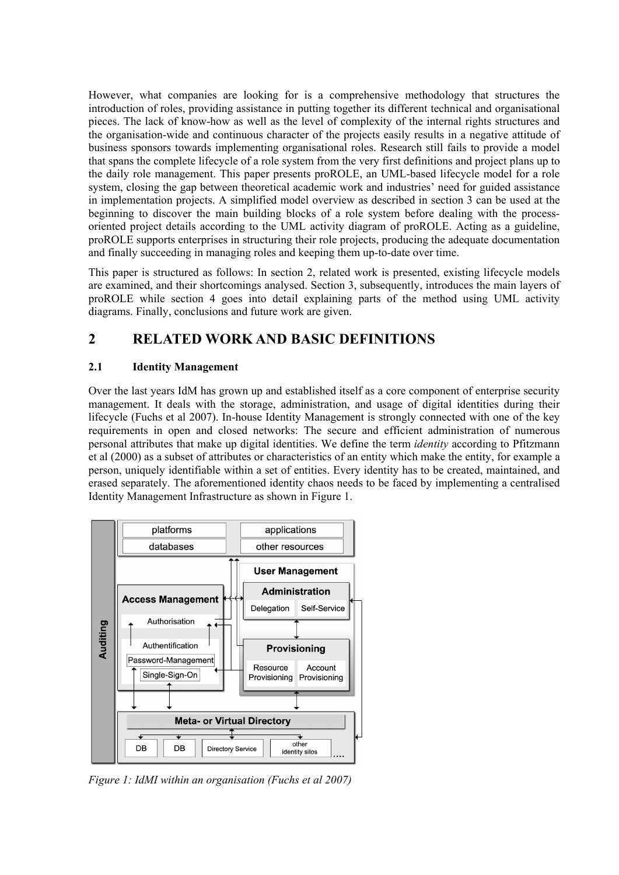However, what companies are looking for is a comprehensive methodology that structures the introduction of roles, providing assistance in putting together its different technical and organisational pieces. The lack of know-how as well as the level of complexity of the internal rights structures and the organisation-wide and continuous character of the projects easily results in a negative attitude of business sponsors towards implementing organisational roles. Research still fails to provide a model that spans the complete lifecycle of a role system from the very first definitions and project plans up to the daily role management. This paper presents proROLE, an UML-based lifecycle model for a role system, closing the gap between theoretical academic work and industries' need for guided assistance in implementation projects. A simplified model overview as described in section 3 can be used at the beginning to discover the main building blocks of a role system before dealing with the processoriented project details according to the UML activity diagram of proROLE. Acting as a guideline, proROLE supports enterprises in structuring their role projects, producing the adequate documentation and finally succeeding in managing roles and keeping them up-to-date over time.

This paper is structured as follows: In section 2, related work is presented, existing lifecycle models are examined, and their shortcomings analysed. Section 3, subsequently, introduces the main layers of proROLE while section 4 goes into detail explaining parts of the method using UML activity diagrams. Finally, conclusions and future work are given.

# **2 RELATED WORK AND BASIC DEFINITIONS**

### **2.1 Identity Management**

Over the last years IdM has grown up and established itself as a core component of enterprise security management. It deals with the storage, administration, and usage of digital identities during their lifecycle (Fuchs et al 2007). In-house Identity Management is strongly connected with one of the key requirements in open and closed networks: The secure and efficient administration of numerous personal attributes that make up digital identities. We define the term *identity* according to Pfitzmann et al (2000) as a subset of attributes or characteristics of an entity which make the entity, for example a person, uniquely identifiable within a set of entities. Every identity has to be created, maintained, and erased separately. The aforementioned identity chaos needs to be faced by implementing a centralised Identity Management Infrastructure as shown in [Figure 1](#page-2-0).



<span id="page-2-0"></span>*Figure 1: IdMI within an organisation (Fuchs et al 2007)*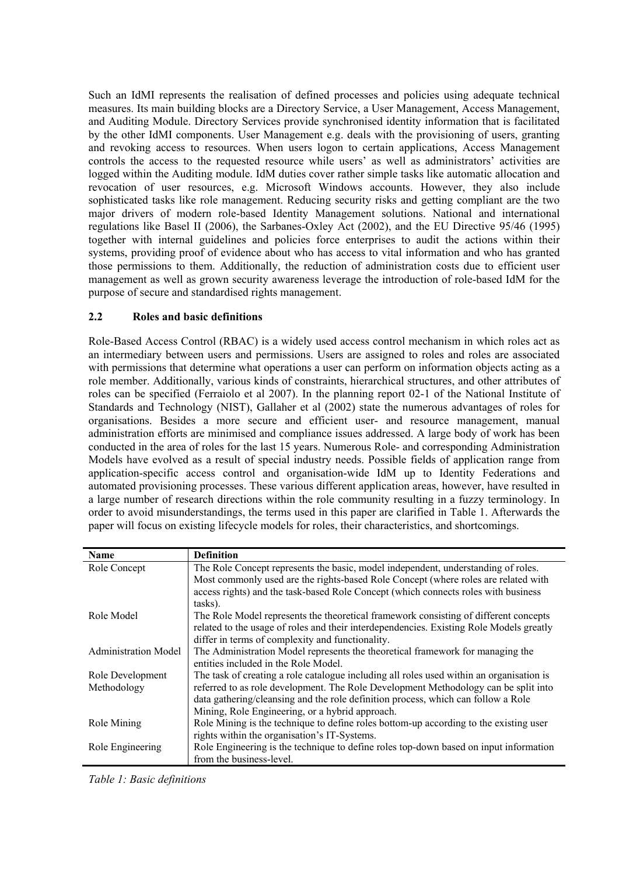Such an IdMI represents the realisation of defined processes and policies using adequate technical measures. Its main building blocks are a Directory Service, a User Management, Access Management, and Auditing Module. Directory Services provide synchronised identity information that is facilitated by the other IdMI components. User Management e.g. deals with the provisioning of users, granting and revoking access to resources. When users logon to certain applications, Access Management controls the access to the requested resource while users' as well as administrators' activities are logged within the Auditing module. IdM duties cover rather simple tasks like automatic allocation and revocation of user resources, e.g. Microsoft Windows accounts. However, they also include sophisticated tasks like role management. Reducing security risks and getting compliant are the two major drivers of modern role-based Identity Management solutions. National and international regulations like Basel II (2006), the Sarbanes-Oxley Act (2002), and the EU Directive 95/46 (1995) together with internal guidelines and policies force enterprises to audit the actions within their systems, providing proof of evidence about who has access to vital information and who has granted those permissions to them. Additionally, the reduction of administration costs due to efficient user management as well as grown security awareness leverage the introduction of role-based IdM for the purpose of secure and standardised rights management.

### **2.2 Roles and basic definitions**

Role-Based Access Control (RBAC) is a widely used access control mechanism in which roles act as an intermediary between users and permissions. Users are assigned to roles and roles are associated with permissions that determine what operations a user can perform on information objects acting as a role member. Additionally, various kinds of constraints, hierarchical structures, and other attributes of roles can be specified (Ferraiolo et al 2007). In the planning report 02-1 of the National Institute of Standards and Technology (NIST), Gallaher et al (2002) state the numerous advantages of roles for organisations. Besides a more secure and efficient user- and resource management, manual administration efforts are minimised and compliance issues addressed. A large body of work has been conducted in the area of roles for the last 15 years. Numerous Role- and corresponding Administration Models have evolved as a result of special industry needs. Possible fields of application range from application-specific access control and organisation-wide IdM up to Identity Federations and automated provisioning processes. These various different application areas, however, have resulted in a large number of research directions within the role community resulting in a fuzzy terminology. In order to avoid misunderstandings, the terms used in this paper are clarified in Table 1. Afterwards the paper will focus on existing lifecycle models for roles, their characteristics, and shortcomings.

| <b>Name</b>                 | <b>Definition</b>                                                                        |  |  |
|-----------------------------|------------------------------------------------------------------------------------------|--|--|
| Role Concept                | The Role Concept represents the basic, model independent, understanding of roles.        |  |  |
|                             | Most commonly used are the rights-based Role Concept (where roles are related with       |  |  |
|                             | access rights) and the task-based Role Concept (which connects roles with business       |  |  |
|                             | tasks).                                                                                  |  |  |
| Role Model                  | The Role Model represents the theoretical framework consisting of different concepts     |  |  |
|                             | related to the usage of roles and their interdependencies. Existing Role Models greatly  |  |  |
|                             | differ in terms of complexity and functionality.                                         |  |  |
| <b>Administration Model</b> | The Administration Model represents the theoretical framework for managing the           |  |  |
|                             | entities included in the Role Model                                                      |  |  |
| Role Development            | The task of creating a role catalogue including all roles used within an organisation is |  |  |
| Methodology                 | referred to as role development. The Role Development Methodology can be split into      |  |  |
|                             | data gathering/cleansing and the role definition process, which can follow a Role        |  |  |
|                             | Mining, Role Engineering, or a hybrid approach.                                          |  |  |
| Role Mining                 | Role Mining is the technique to define roles bottom-up according to the existing user    |  |  |
|                             | rights within the organisation's IT-Systems.                                             |  |  |
| Role Engineering            | Role Engineering is the technique to define roles top-down based on input information    |  |  |
|                             | from the business-level.                                                                 |  |  |

*Table 1: Basic definitions*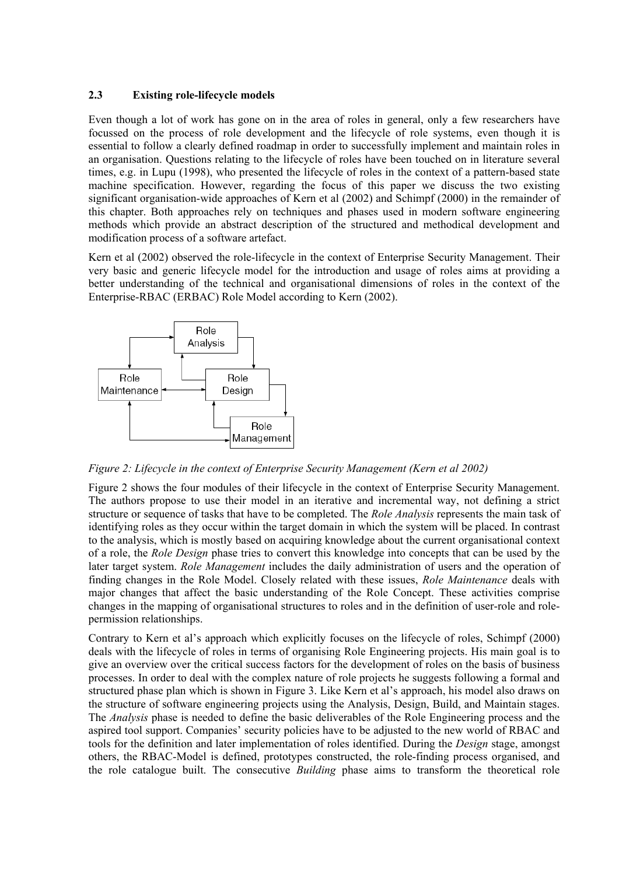#### **2.3 Existing role-lifecycle models**

Even though a lot of work has gone on in the area of roles in general, only a few researchers have focussed on the process of role development and the lifecycle of role systems, even though it is essential to follow a clearly defined roadmap in order to successfully implement and maintain roles in an organisation. Questions relating to the lifecycle of roles have been touched on in literature several times, e.g. in Lupu (1998), who presented the lifecycle of roles in the context of a pattern-based state machine specification. However, regarding the focus of this paper we discuss the two existing significant organisation-wide approaches of Kern et al (2002) and Schimpf (2000) in the remainder of this chapter. Both approaches rely on techniques and phases used in modern software engineering methods which provide an abstract description of the structured and methodical development and modification process of a software artefact.

Kern et al (2002) observed the role-lifecycle in the context of Enterprise Security Management. Their very basic and generic lifecycle model for the introduction and usage of roles aims at providing a better understanding of the technical and organisational dimensions of roles in the context of the Enterprise-RBAC (ERBAC) Role Model according to Kern (2002).



<span id="page-4-0"></span>*Figure 2: Lifecycle in the context of Enterprise Security Management (Kern et al 2002)* 

[Figure 2](#page-4-0) shows the four modules of their lifecycle in the context of Enterprise Security Management. The authors propose to use their model in an iterative and incremental way, not defining a strict structure or sequence of tasks that have to be completed. The *Role Analysis* represents the main task of identifying roles as they occur within the target domain in which the system will be placed. In contrast to the analysis, which is mostly based on acquiring knowledge about the current organisational context of a role, the *Role Design* phase tries to convert this knowledge into concepts that can be used by the later target system. *Role Management* includes the daily administration of users and the operation of finding changes in the Role Model. Closely related with these issues, *Role Maintenance* deals with major changes that affect the basic understanding of the Role Concept. These activities comprise changes in the mapping of organisational structures to roles and in the definition of user-role and rolepermission relationships.

Contrary to Kern et al's approach which explicitly focuses on the lifecycle of roles, Schimpf (2000) deals with the lifecycle of roles in terms of organising Role Engineering projects. His main goal is to give an overview over the critical success factors for the development of roles on the basis of business processes. In order to deal with the complex nature of role projects he suggests following a formal and structured phase plan which is shown in [Figure 3](#page-5-0). Like Kern et al's approach, his model also draws on the structure of software engineering projects using the Analysis, Design, Build, and Maintain stages. The *Analysis* phase is needed to define the basic deliverables of the Role Engineering process and the aspired tool support. Companies' security policies have to be adjusted to the new world of RBAC and tools for the definition and later implementation of roles identified. During the *Design* stage, amongst others, the RBAC-Model is defined, prototypes constructed, the role-finding process organised, and the role catalogue built. The consecutive *Building* phase aims to transform the theoretical role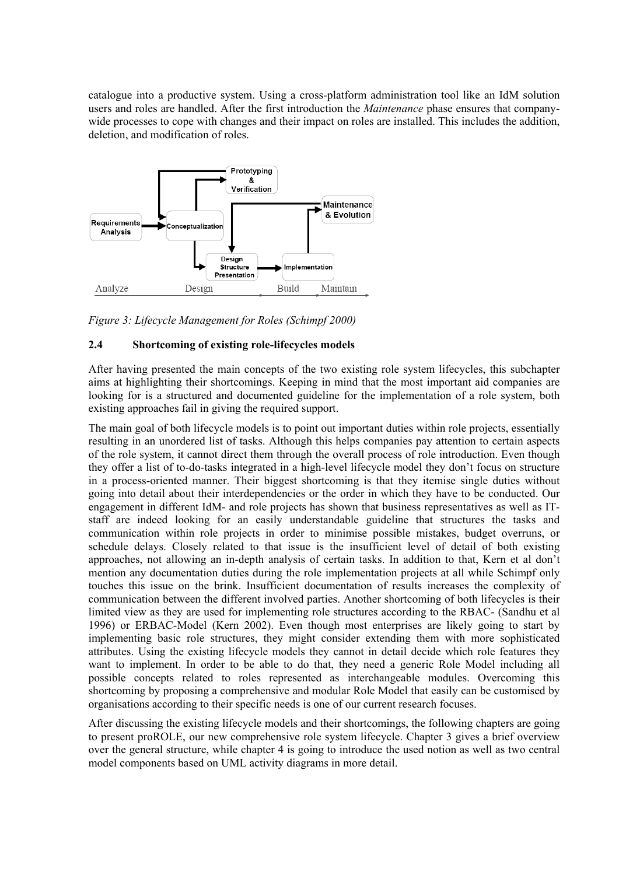catalogue into a productive system. Using a cross-platform administration tool like an IdM solution users and roles are handled. After the first introduction the *Maintenance* phase ensures that companywide processes to cope with changes and their impact on roles are installed. This includes the addition, deletion, and modification of roles.



<span id="page-5-0"></span>*Figure 3: Lifecycle Management for Roles (Schimpf 2000)* 

### **2.4 Shortcoming of existing role-lifecycles models**

After having presented the main concepts of the two existing role system lifecycles, this subchapter aims at highlighting their shortcomings. Keeping in mind that the most important aid companies are looking for is a structured and documented guideline for the implementation of a role system, both existing approaches fail in giving the required support.

The main goal of both lifecycle models is to point out important duties within role projects, essentially resulting in an unordered list of tasks. Although this helps companies pay attention to certain aspects of the role system, it cannot direct them through the overall process of role introduction. Even though they offer a list of to-do-tasks integrated in a high-level lifecycle model they don't focus on structure in a process-oriented manner. Their biggest shortcoming is that they itemise single duties without going into detail about their interdependencies or the order in which they have to be conducted. Our engagement in different IdM- and role projects has shown that business representatives as well as ITstaff are indeed looking for an easily understandable guideline that structures the tasks and communication within role projects in order to minimise possible mistakes, budget overruns, or schedule delays. Closely related to that issue is the insufficient level of detail of both existing approaches, not allowing an in-depth analysis of certain tasks. In addition to that, Kern et al don't mention any documentation duties during the role implementation projects at all while Schimpf only touches this issue on the brink. Insufficient documentation of results increases the complexity of communication between the different involved parties. Another shortcoming of both lifecycles is their limited view as they are used for implementing role structures according to the RBAC- (Sandhu et al 1996) or ERBAC-Model (Kern 2002). Even though most enterprises are likely going to start by implementing basic role structures, they might consider extending them with more sophisticated attributes. Using the existing lifecycle models they cannot in detail decide which role features they want to implement. In order to be able to do that, they need a generic Role Model including all possible concepts related to roles represented as interchangeable modules. Overcoming this shortcoming by proposing a comprehensive and modular Role Model that easily can be customised by organisations according to their specific needs is one of our current research focuses.

After discussing the existing lifecycle models and their shortcomings, the following chapters are going to present proROLE, our new comprehensive role system lifecycle. Chapter 3 gives a brief overview over the general structure, while chapter 4 is going to introduce the used notion as well as two central model components based on UML activity diagrams in more detail.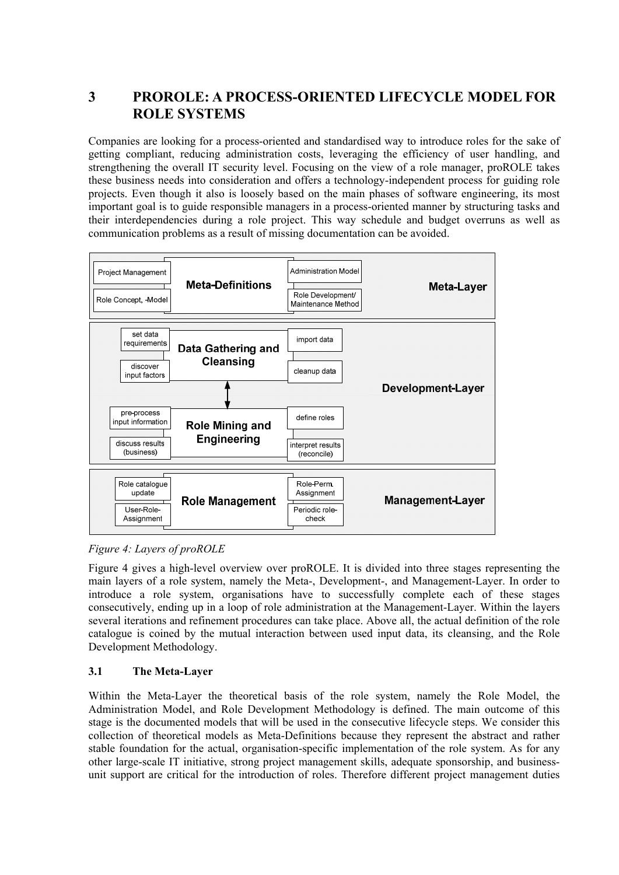# **3 PROROLE: A PROCESS-ORIENTED LIFECYCLE MODEL FOR ROLE SYSTEMS**

Companies are looking for a process-oriented and standardised way to introduce roles for the sake of getting compliant, reducing administration costs, leveraging the efficiency of user handling, and strengthening the overall IT security level. Focusing on the view of a role manager, proROLE takes these business needs into consideration and offers a technology-independent process for guiding role projects. Even though it also is loosely based on the main phases of software engineering, its most important goal is to guide responsible managers in a process-oriented manner by structuring tasks and their interdependencies during a role project. This way schedule and budget overruns as well as communication problems as a result of missing documentation can be avoided.



<span id="page-6-0"></span>*Figure 4: Layers of proROLE* 

[Figure 4](#page-6-0) gives a high-level overview over proROLE. It is divided into three stages representing the main layers of a role system, namely the Meta-, Development-, and Management-Layer. In order to introduce a role system, organisations have to successfully complete each of these stages consecutively, ending up in a loop of role administration at the Management-Layer. Within the layers several iterations and refinement procedures can take place. Above all, the actual definition of the role catalogue is coined by the mutual interaction between used input data, its cleansing, and the Role Development Methodology.

### **3.1 The Meta-Layer**

Within the Meta-Layer the theoretical basis of the role system, namely the Role Model, the Administration Model, and Role Development Methodology is defined. The main outcome of this stage is the documented models that will be used in the consecutive lifecycle steps. We consider this collection of theoretical models as Meta-Definitions because they represent the abstract and rather stable foundation for the actual, organisation-specific implementation of the role system. As for any other large-scale IT initiative, strong project management skills, adequate sponsorship, and businessunit support are critical for the introduction of roles. Therefore different project management duties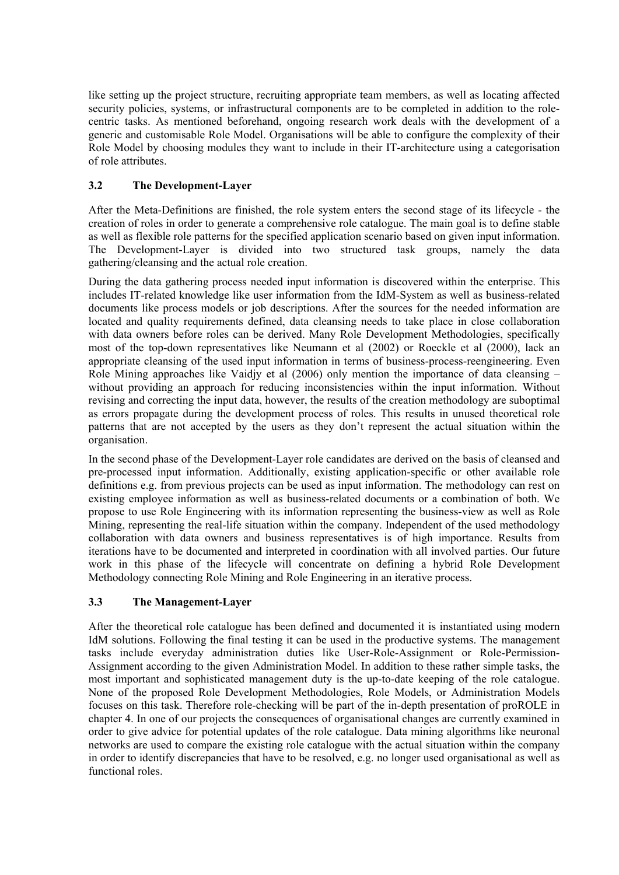like setting up the project structure, recruiting appropriate team members, as well as locating affected security policies, systems, or infrastructural components are to be completed in addition to the rolecentric tasks. As mentioned beforehand, ongoing research work deals with the development of a generic and customisable Role Model. Organisations will be able to configure the complexity of their Role Model by choosing modules they want to include in their IT-architecture using a categorisation of role attributes.

### **3.2 The Development-Layer**

After the Meta-Definitions are finished, the role system enters the second stage of its lifecycle - the creation of roles in order to generate a comprehensive role catalogue. The main goal is to define stable as well as flexible role patterns for the specified application scenario based on given input information. The Development-Layer is divided into two structured task groups, namely the data gathering/cleansing and the actual role creation.

During the data gathering process needed input information is discovered within the enterprise. This includes IT-related knowledge like user information from the IdM-System as well as business-related documents like process models or job descriptions. After the sources for the needed information are located and quality requirements defined, data cleansing needs to take place in close collaboration with data owners before roles can be derived. Many Role Development Methodologies, specifically most of the top-down representatives like Neumann et al (2002) or Roeckle et al (2000), lack an appropriate cleansing of the used input information in terms of business-process-reengineering. Even Role Mining approaches like Vaidjy et al (2006) only mention the importance of data cleansing – without providing an approach for reducing inconsistencies within the input information. Without revising and correcting the input data, however, the results of the creation methodology are suboptimal as errors propagate during the development process of roles. This results in unused theoretical role patterns that are not accepted by the users as they don't represent the actual situation within the organisation.

In the second phase of the Development-Layer role candidates are derived on the basis of cleansed and pre-processed input information. Additionally, existing application-specific or other available role definitions e.g. from previous projects can be used as input information. The methodology can rest on existing employee information as well as business-related documents or a combination of both. We propose to use Role Engineering with its information representing the business-view as well as Role Mining, representing the real-life situation within the company. Independent of the used methodology collaboration with data owners and business representatives is of high importance. Results from iterations have to be documented and interpreted in coordination with all involved parties. Our future work in this phase of the lifecycle will concentrate on defining a hybrid Role Development Methodology connecting Role Mining and Role Engineering in an iterative process.

### **3.3 The Management-Layer**

After the theoretical role catalogue has been defined and documented it is instantiated using modern IdM solutions. Following the final testing it can be used in the productive systems. The management tasks include everyday administration duties like User-Role-Assignment or Role-Permission-Assignment according to the given Administration Model. In addition to these rather simple tasks, the most important and sophisticated management duty is the up-to-date keeping of the role catalogue. None of the proposed Role Development Methodologies, Role Models, or Administration Models focuses on this task. Therefore role-checking will be part of the in-depth presentation of proROLE in chapter 4. In one of our projects the consequences of organisational changes are currently examined in order to give advice for potential updates of the role catalogue. Data mining algorithms like neuronal networks are used to compare the existing role catalogue with the actual situation within the company in order to identify discrepancies that have to be resolved, e.g. no longer used organisational as well as functional roles.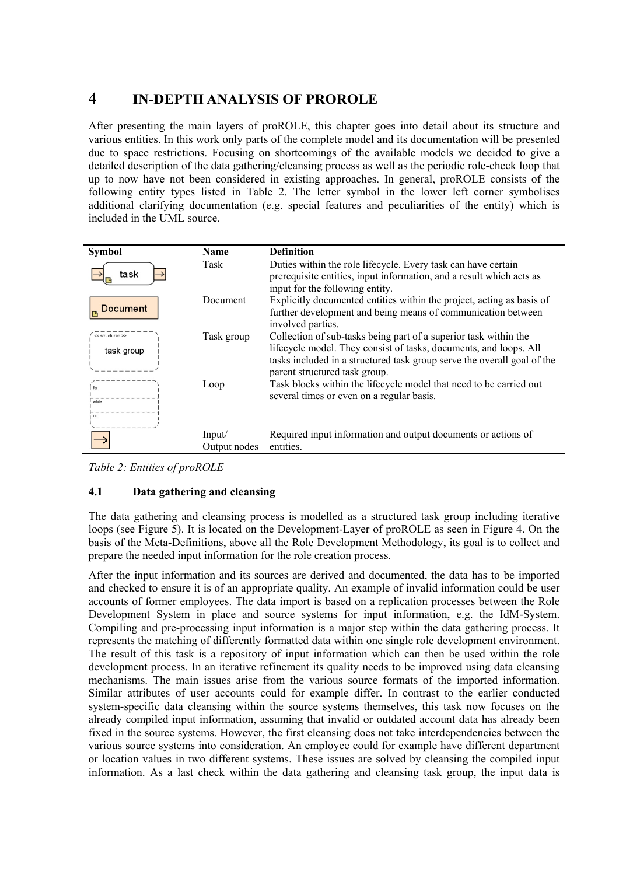# **4 IN-DEPTH ANALYSIS OF PROROLE**

After presenting the main layers of proROLE, this chapter goes into detail about its structure and various entities. In this work only parts of the complete model and its documentation will be presented due to space restrictions. Focusing on shortcomings of the available models we decided to give a detailed description of the data gathering/cleansing process as well as the periodic role-check loop that up to now have not been considered in existing approaches. In general, proROLE consists of the following entity types listed in Table 2. The letter symbol in the lower left corner symbolises additional clarifying documentation (e.g. special features and peculiarities of the entity) which is included in the UML source.

| <b>Symbol</b>                       | <b>Name</b>            | <b>Definition</b>                                                                                                                                                                                                                                 |
|-------------------------------------|------------------------|---------------------------------------------------------------------------------------------------------------------------------------------------------------------------------------------------------------------------------------------------|
| task                                | Task                   | Duties within the role lifecycle. Every task can have certain<br>prerequisite entities, input information, and a result which acts as<br>input for the following entity.                                                                          |
| <b>Document</b>                     | Document               | Explicitly documented entities within the project, acting as basis of<br>further development and being means of communication between<br>involved parties.                                                                                        |
| $\prec$ structured >><br>task group | Task group             | Collection of sub-tasks being part of a superior task within the<br>lifecycle model. They consist of tasks, documents, and loops. All<br>tasks included in a structured task group serve the overall goal of the<br>parent structured task group. |
| for<br>while<br>do                  | Loop                   | Task blocks within the lifecycle model that need to be carried out<br>several times or even on a regular basis.                                                                                                                                   |
|                                     | Input/<br>Output nodes | Required input information and output documents or actions of<br>entities.                                                                                                                                                                        |

*Table 2: Entities of proROLE* 

### **4.1 Data gathering and cleansing**

The data gathering and cleansing process is modelled as a structured task group including iterative loops (see [Figure 5\)](#page-9-0). It is located on the Development-Layer of proROLE as seen in [Figure 4](#page-6-0). On the basis of the Meta-Definitions, above all the Role Development Methodology, its goal is to collect and prepare the needed input information for the role creation process.

After the input information and its sources are derived and documented, the data has to be imported and checked to ensure it is of an appropriate quality. An example of invalid information could be user accounts of former employees. The data import is based on a replication processes between the Role Development System in place and source systems for input information, e.g. the IdM-System. Compiling and pre-processing input information is a major step within the data gathering process. It represents the matching of differently formatted data within one single role development environment. The result of this task is a repository of input information which can then be used within the role development process. In an iterative refinement its quality needs to be improved using data cleansing mechanisms. The main issues arise from the various source formats of the imported information. Similar attributes of user accounts could for example differ. In contrast to the earlier conducted system-specific data cleansing within the source systems themselves, this task now focuses on the already compiled input information, assuming that invalid or outdated account data has already been fixed in the source systems. However, the first cleansing does not take interdependencies between the various source systems into consideration. An employee could for example have different department or location values in two different systems. These issues are solved by cleansing the compiled input information. As a last check within the data gathering and cleansing task group, the input data is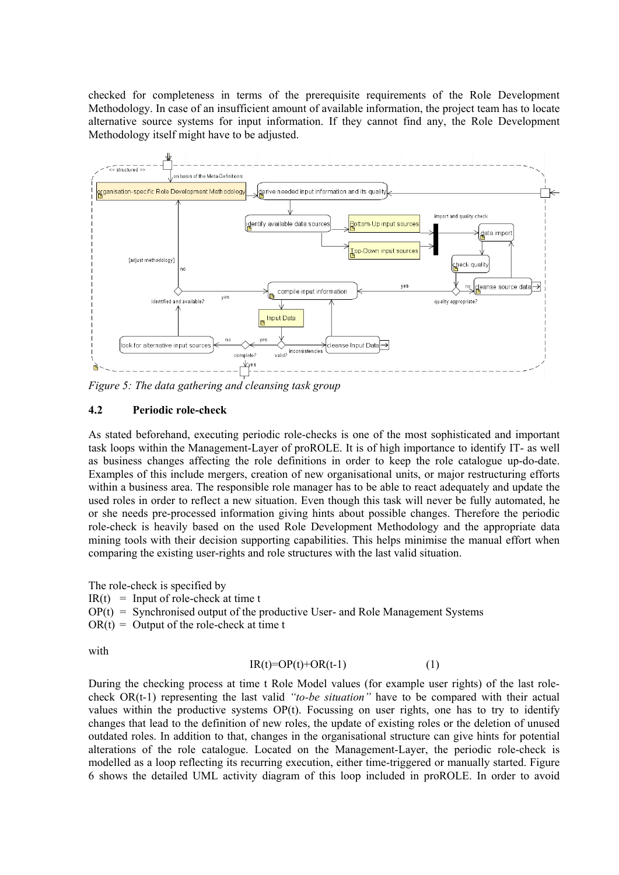checked for completeness in terms of the prerequisite requirements of the Role Development Methodology. In case of an insufficient amount of available information, the project team has to locate alternative source systems for input information. If they cannot find any, the Role Development Methodology itself might have to be adjusted.

<span id="page-9-0"></span>

*Figure 5: The data gathering and cleansing task group* 

#### **4.2 Periodic role-check**

As stated beforehand, executing periodic role-checks is one of the most sophisticated and important task loops within the Management-Layer of proROLE. It is of high importance to identify IT- as well as business changes affecting the role definitions in order to keep the role catalogue up-do-date. Examples of this include mergers, creation of new organisational units, or major restructuring efforts within a business area. The responsible role manager has to be able to react adequately and update the used roles in order to reflect a new situation. Even though this task will never be fully automated, he or she needs pre-processed information giving hints about possible changes. Therefore the periodic role-check is heavily based on the used Role Development Methodology and the appropriate data mining tools with their decision supporting capabilities. This helps minimise the manual effort when comparing the existing user-rights and role structures with the last valid situation.

The role-check is specified by  $IR(t) = Input of role-check at time t$  $OP(t) =$  Synchronised output of the productive User- and Role Management Systems  $OR(t) = Output$  of the role-check at time t

with

#### $IR(t)=OP(t)+OR(t-1)$  (1)

During the checking process at time t Role Model values (for example user rights) of the last rolecheck OR(t-1) representing the last valid *"to-be situation"* have to be compared with their actual values within the productive systems OP(t). Focussing on user rights, one has to try to identify changes that lead to the definition of new roles, the update of existing roles or the deletion of unused outdated roles. In addition to that, changes in the organisational structure can give hints for potential alterations of the role catalogue. Located on the Management-Layer, the periodic role-check is modelled as a loop reflecting its recurring execution, either time-triggered or manually started. [Figure](#page-10-0)  [6](#page-10-0) shows the detailed UML activity diagram of this loop included in proROLE. In order to avoid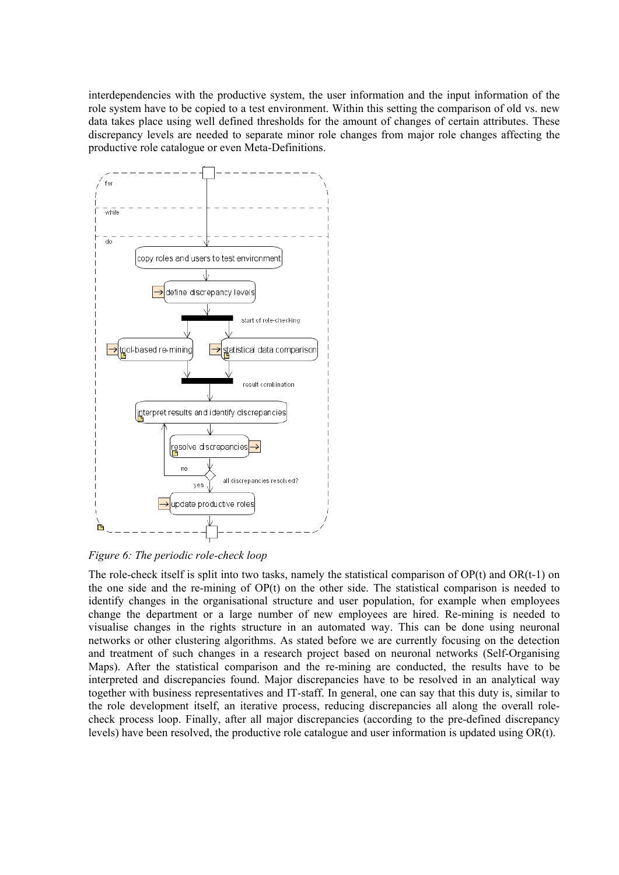interdependencies with the productive system, the user information and the input information of the role system have to be copied to a test environment. Within this setting the comparison of old vs. new data takes place using well defined thresholds for the amount of changes of certain attributes. These discrepancy levels are needed to separate minor role changes from major role changes affecting the productive role catalogue or even Meta-Definitions.



<span id="page-10-0"></span>*Figure 6: The periodic role-check loop* 

The role-check itself is split into two tasks, namely the statistical comparison of OP(t) and OR(t-1) on the one side and the re-mining of OP(t) on the other side. The statistical comparison is needed to identify changes in the organisational structure and user population, for example when employees change the department or a large number of new employees are hired. Re-mining is needed to visualise changes in the rights structure in an automated way. This can be done using neuronal networks or other clustering algorithms. As stated before we are currently focusing on the detection and treatment of such changes in a research project based on neuronal networks (Self-Organising Maps). After the statistical comparison and the re-mining are conducted, the results have to be interpreted and discrepancies found. Major discrepancies have to be resolved in an analytical way together with business representatives and IT-staff. In general, one can say that this duty is, similar to the role development itself, an iterative process, reducing discrepancies all along the overall rolecheck process loop. Finally, after all major discrepancies (according to the pre-defined discrepancy levels) have been resolved, the productive role catalogue and user information is updated using OR(t).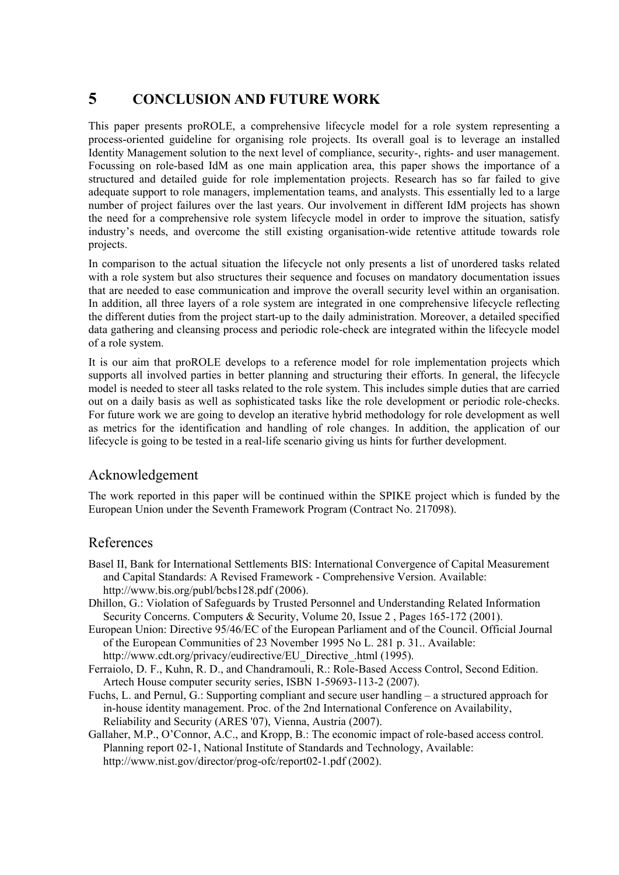# **5 CONCLUSION AND FUTURE WORK**

This paper presents proROLE, a comprehensive lifecycle model for a role system representing a process-oriented guideline for organising role projects. Its overall goal is to leverage an installed Identity Management solution to the next level of compliance, security-, rights- and user management. Focussing on role-based IdM as one main application area, this paper shows the importance of a structured and detailed guide for role implementation projects. Research has so far failed to give adequate support to role managers, implementation teams, and analysts. This essentially led to a large number of project failures over the last years. Our involvement in different IdM projects has shown the need for a comprehensive role system lifecycle model in order to improve the situation, satisfy industry's needs, and overcome the still existing organisation-wide retentive attitude towards role projects.

In comparison to the actual situation the lifecycle not only presents a list of unordered tasks related with a role system but also structures their sequence and focuses on mandatory documentation issues that are needed to ease communication and improve the overall security level within an organisation. In addition, all three layers of a role system are integrated in one comprehensive lifecycle reflecting the different duties from the project start-up to the daily administration. Moreover, a detailed specified data gathering and cleansing process and periodic role-check are integrated within the lifecycle model of a role system.

It is our aim that proROLE develops to a reference model for role implementation projects which supports all involved parties in better planning and structuring their efforts. In general, the lifecycle model is needed to steer all tasks related to the role system. This includes simple duties that are carried out on a daily basis as well as sophisticated tasks like the role development or periodic role-checks. For future work we are going to develop an iterative hybrid methodology for role development as well as metrics for the identification and handling of role changes. In addition, the application of our lifecycle is going to be tested in a real-life scenario giving us hints for further development.

### Acknowledgement

The work reported in this paper will be continued within the SPIKE project which is funded by the European Union under the Seventh Framework Program (Contract No. 217098).

### References

- Basel II, Bank for International Settlements BIS: International Convergence of Capital Measurement and Capital Standards: A Revised Framework - Comprehensive Version. Available: http://www.bis.org/publ/bcbs128.pdf (2006).
- Dhillon, G.: Violation of Safeguards by Trusted Personnel and Understanding Related Information Security Concerns. Computers & Security, [Volume 20, Issue 2](http://www.sciencedirect.com/science?_ob=PublicationURL&_tockey=%23TOC%235870%232001%23999799997%23247766%23FLA%23&_cdi=5870&_pubType=J&view=c&_auth=y&_acct=C000032338&_version=1&_urlVersion=0&_userid=616165&md5=6532b24b5b19636959694363a508b820) , Pages 165-172 (2001).
- European Union: Directive 95/46/EC of the European Parliament and of the Council. Official Journal of the European Communities of 23 November 1995 No L. 281 p. 31.. Available: [http://www.cdt.org/privacy/eudirective/EU\\_Directive\\_.html](http://www.cdt.org/privacy/eudirective/EU_Directive_.html) (1995).
- Ferraiolo, D. F., Kuhn, R. D., and Chandramouli, R.: Role-Based Access Control, Second Edition. Artech House computer security series, ISBN 1-59693-113-2 (2007).
- Fuchs, L. and Pernul, G.: Supporting compliant and secure user handling a structured approach for in-house identity management. Proc. of the 2nd International Conference on Availability, Reliability and Security (ARES '07), Vienna, Austria (2007).
- Gallaher, M.P., O'Connor, A.C., and Kropp, B.: The economic impact of role-based access control. Planning report 02-1, National Institute of Standards and Technology, Available: http://www.nist.gov/director/prog-ofc/report02-1.pdf (2002).